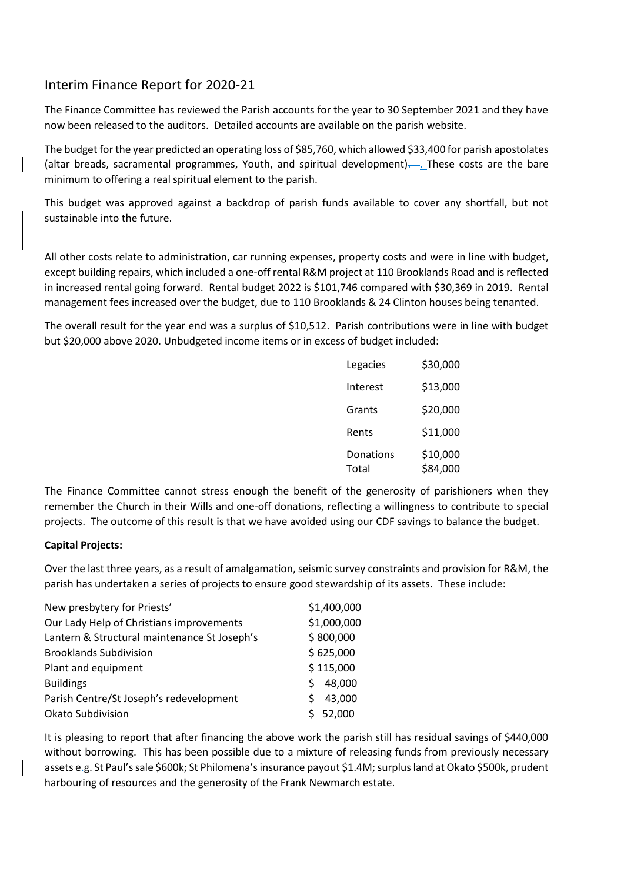## Interim Finance Report for 2020-21

The Finance Committee has reviewed the Parish accounts for the year to 30 September 2021 and they have now been released to the auditors. Detailed accounts are available on the parish website.

The budget for the year predicted an operating loss of \$85,760, which allowed \$33,400 for parish apostolates (altar breads, sacramental programmes, Youth, and spiritual development). . These costs are the bare minimum to offering a real spiritual element to the parish.

This budget was approved against a backdrop of parish funds available to cover any shortfall, but not sustainable into the future.

All other costs relate to administration, car running expenses, property costs and were in line with budget, except building repairs, which included a one-off rental R&M project at 110 Brooklands Road and is reflected in increased rental going forward. Rental budget 2022 is \$101,746 compared with \$30,369 in 2019. Rental management fees increased over the budget, due to 110 Brooklands & 24 Clinton houses being tenanted.

The overall result for the year end was a surplus of \$10,512. Parish contributions were in line with budget but \$20,000 above 2020. Unbudgeted income items or in excess of budget included:

| Legacies  | \$30,000 |
|-----------|----------|
| Interest  | \$13,000 |
| Grants    | \$20,000 |
| Rents     | \$11,000 |
| Donations | \$10,000 |
| Total     | \$84,000 |

The Finance Committee cannot stress enough the benefit of the generosity of parishioners when they remember the Church in their Wills and one-off donations, reflecting a willingness to contribute to special projects. The outcome of this result is that we have avoided using our CDF savings to balance the budget.

## **Capital Projects:**

Over the last three years, as a result of amalgamation, seismic survey constraints and provision for R&M, the parish has undertaken a series of projects to ensure good stewardship of its assets. These include:

| \$1,400,000 |
|-------------|
| \$1,000,000 |
| \$800,000   |
| \$625,000   |
| \$115,000   |
| 48,000<br>S |
| 43,000      |
| 52,000      |
|             |

It is pleasing to report that after financing the above work the parish still has residual savings of \$440,000 without borrowing. This has been possible due to a mixture of releasing funds from previously necessary assets e.g. St Paul's sale \$600k; St Philomena's insurance payout \$1.4M; surplus land at Okato \$500k, prudent harbouring of resources and the generosity of the Frank Newmarch estate.